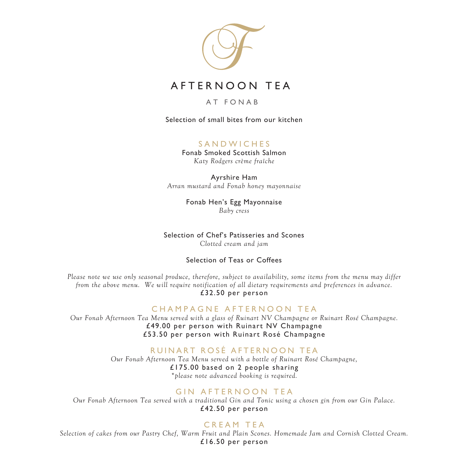

# AFTERNOON TEA

### AT FONAB

Selection of small bites from our kitchen

# SANDWICHES

Fonab Smoked Scottish Salmon *Katy Rodgers crème fraîche*

Ayrshire Ham *Arran mustard and Fonab honey mayonnaise*

> Fonab Hen's Egg Mayonnaise *Baby cress*

# Selection of Chef's Patisseries and Scones

*Clotted cream and jam*

### Selection of Teas or Coffees

*Please note we use only seasonal produce, therefore, subject to availability, some items from the menu may differ from the above menu. We will require notification of all dietary requirements and preferences in advance.* £32.50 per person

## CHAMPAGNE AFTERNOON TEA

*Our Fonab Afternoon Tea Menu served with a glass of Ruinart NV Champagne or Ruinart Rosé Champagne.* £49.00 per person with Ruinart NV Champagne £53.50 per person with Ruinart Rosé Champagne

## RUINART ROSÉ AFTERNOON TEA

*Our Fonab Afternoon Tea Menu served with a bottle of Ruinart Rosé Champagne,*  £175.00 based on 2 people sharing *\*please note advanced booking is required.*

# GIN AFTERNOON TEA

*Our Fonab Afternoon Tea served with a traditional Gin and Tonic using a chosen gin from our Gin Palace.* £42.50 per person

# CREAM TEA

*Selection of cakes from our Pastry Chef, Warm Fruit and Plain Scones. Homemade Jam and Cornish Clotted Cream.* £16.50 per person